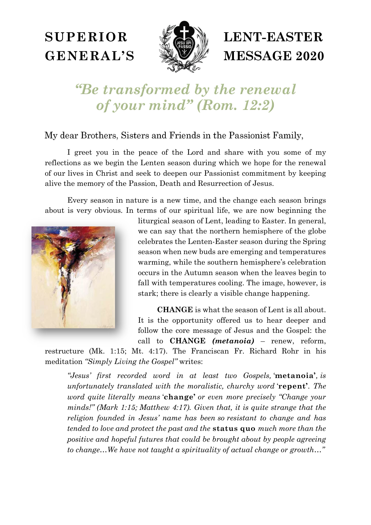## **SUPERIOR GENERAL'S**



# **LENT-EASTER MESSAGE 2020**

## "Be transformed by the renewal of your mind" (Rom. 12:2)

My dear Brothers, Sisters and Friends in the Passionist Family,

 I greet you in the peace of the Lord and share with you some of my reflections as we begin the Lenten season during which we hope for the renewal of our lives in Christ and seek to deepen our Passionist commitment by keeping alive the memory of the Passion, Death and Resurrection of Jesus.

 Every season in nature is a new time, and the change each season brings about is very obvious. In terms of our spiritual life, we are now beginning the



liturgical season of Lent, leading to Easter. In general, we can say that the northern hemisphere of the globe celebrates the Lenten-Easter season during the Spring season when new buds are emerging and temperatures warming, while the southern hemisphere's celebration occurs in the Autumn season when the leaves begin to fall with temperatures cooling. The image, however, is stark; there is clearly a visible change happening.

**CHANGE** is what the season of Lent is all about. It is the opportunity offered us to hear deeper and follow the core message of Jesus and the Gospel: the call to **CHANGE** *(metanoia)* – renew, reform,

restructure (Mk. 1:15; Mt. 4:17). The Franciscan Fr. Richard Rohr in his meditation *"Simply Living the Gospel"* writes:

*"Jesus' first recorded word in at least two Gospels,* '**metanoia'***, is unfortunately translated with the moralistic, churchy word* '**repent'***. The word quite literally means* '**change'** *or even more precisely "Change your minds!" (Mark 1:15; Matthew 4:17). Given that, it is quite strange that the religion founded in Jesus' name has been so resistant to change and has tended to love and protect the past and the* **status quo** *much more than the positive and hopeful futures that could be brought about by people agreeing to change…We have not taught a spirituality of actual change or growth…"*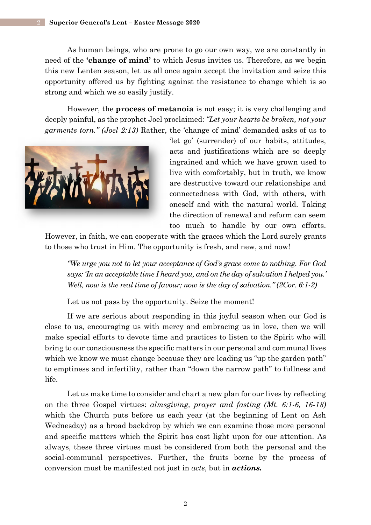As human beings, who are prone to go our own way, we are constantly in need of the **'change of mind'** to which Jesus invites us. Therefore, as we begin this new Lenten season, let us all once again accept the invitation and seize this opportunity offered us by fighting against the resistance to change which is so strong and which we so easily justify.

However, the **process of metanoia** is not easy; it is very challenging and deeply painful, as the prophet Joel proclaimed: *"Let your hearts be broken, not your garments torn." (Joel 2:13)* Rather, the 'change of mind' demanded asks of us to



'let go' (surrender) of our habits, attitudes, acts and justifications which are so deeply ingrained and which we have grown used to live with comfortably, but in truth, we know are destructive toward our relationships and connectedness with God, with others, with oneself and with the natural world. Taking the direction of renewal and reform can seem too much to handle by our own efforts.

However, in faith, we can cooperate with the graces which the Lord surely grants to those who trust in Him. The opportunity is fresh, and new, and now!

*"We urge you not to let your acceptance of God's grace come to nothing. For God says: 'In an acceptable time I heard you, and on the day of salvation I helped you.' Well, now is the real time of favour; now is the day of salvation.*" (2Cor. 6:1-2)

Let us not pass by the opportunity. Seize the moment!

 If we are serious about responding in this joyful season when our God is close to us, encouraging us with mercy and embracing us in love, then we will make special efforts to devote time and practices to listen to the Spirit who will bring to our consciousness the specific matters in our personal and communal lives which we know we must change because they are leading us "up the garden path" to emptiness and infertility, rather than "down the narrow path" to fullness and life.

 Let us make time to consider and chart a new plan for our lives by reflecting on the three Gospel virtues: *almsgiving, prayer and fasting (Mt. 6:1-6, 16-18)* which the Church puts before us each year (at the beginning of Lent on Ash Wednesday) as a broad backdrop by which we can examine those more personal and specific matters which the Spirit has cast light upon for our attention. As always, these three virtues must be considered from both the personal and the social-communal perspectives. Further, the fruits borne by the process of conversion must be manifested not just in *acts*, but in *actions.*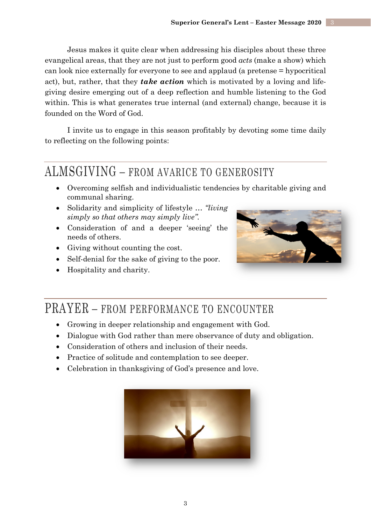Jesus makes it quite clear when addressing his disciples about these three evangelical areas, that they are not just to perform good *acts* (make a show) which can look nice externally for everyone to see and applaud (a pretense = hypocritical act), but, rather, that they *take action* which is motivated by a loving and lifegiving desire emerging out of a deep reflection and humble listening to the God within. This is what generates true internal (and external) change, because it is founded on the Word of God.

 I invite us to engage in this season profitably by devoting some time daily to reflecting on the following points:

#### ALMSGIVING – FROM AVARICE TO GENEROSITY

- Overcoming selfish and individualistic tendencies by charitable giving and communal sharing.
- Solidarity and simplicity of lifestyle … *"living simply so that others may simply live".*
- Consideration of and a deeper 'seeing' the needs of others.
- Giving without counting the cost.
- Self-denial for the sake of giving to the poor.
- Hospitality and charity.



### PRAYER – FROM PERFORMANCE TO ENCOUNTER

- Growing in deeper relationship and engagement with God.
- Dialogue with God rather than mere observance of duty and obligation.
- Consideration of others and inclusion of their needs.
- Practice of solitude and contemplation to see deeper.
- Celebration in thanksgiving of God's presence and love.